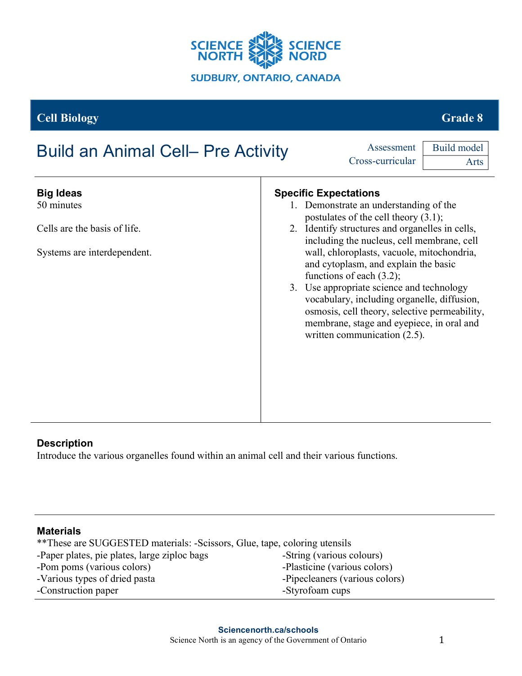

**Cell Biology** Grade 8

# Build an Animal Cell– Pre Activity **Assessment**

Cross-curricular Build model

| <b>Big Ideas</b><br>50 minutes | <b>Specific Expectations</b><br>1. Demonstrate an understanding of the<br>postulates of the cell theory $(3.1)$ ;                                                                                                                                                                                                                              |
|--------------------------------|------------------------------------------------------------------------------------------------------------------------------------------------------------------------------------------------------------------------------------------------------------------------------------------------------------------------------------------------|
| Cells are the basis of life.   | 2. Identify structures and organelles in cells,<br>including the nucleus, cell membrane, cell                                                                                                                                                                                                                                                  |
| Systems are interdependent.    | wall, chloroplasts, vacuole, mitochondria,<br>and cytoplasm, and explain the basic<br>functions of each $(3.2)$ ;<br>3. Use appropriate science and technology<br>vocabulary, including organelle, diffusion,<br>osmosis, cell theory, selective permeability,<br>membrane, stage and eyepiece, in oral and<br>written communication $(2.5)$ . |

# **Description**

Introduce the various organelles found within an animal cell and their various functions.

# **Materials**

| ** These are SUGGESTED materials: -Scissors, Glue, tape, coloring utensils |                                |
|----------------------------------------------------------------------------|--------------------------------|
| -Paper plates, pie plates, large ziploc bags                               | -String (various colours)      |
| -Pom poms (various colors)                                                 | -Plasticine (various colors)   |
| -Various types of dried pasta                                              | -Pipecleaners (various colors) |
| -Construction paper                                                        | -Styrofoam cups                |
|                                                                            |                                |

Arts